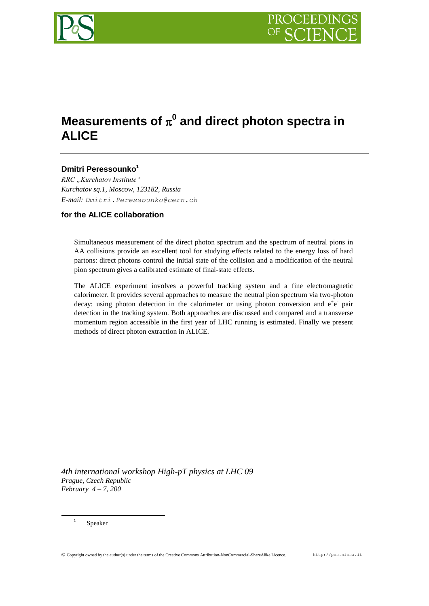

# Measurements of  $\pi^0$  and direct photon spectra in **ALICE**

# **Dmitri Peressounko<sup>1</sup>**

*RRC "Kurchatov Institute" Kurchatov sq.1, Moscow, 123182, Russia E-mail: Dmitri.Peressounko@cern.ch*

## **for the ALICE collaboration**

Simultaneous measurement of the direct photon spectrum and the spectrum of neutral pions in AA collisions provide an excellent tool for studying effects related to the energy loss of hard partons: direct photons control the initial state of the collision and a modification of the neutral pion spectrum gives a calibrated estimate of final-state effects.

The ALICE experiment involves a powerful tracking system and a fine electromagnetic calorimeter. It provides several approaches to measure the neutral pion spectrum via two-photon decay: using photon detection in the calorimeter or using photon conversion and  $e^+e^-$  pair detection in the tracking system. Both approaches are discussed and compared and a transverse momentum region accessible in the first year of LHC running is estimated. Finally we present methods of direct photon extraction in ALICE.

*4th international workshop High-pT physics at LHC 09 Prague, Czech Republic February 4 – 7, 200*

Speaker

1 1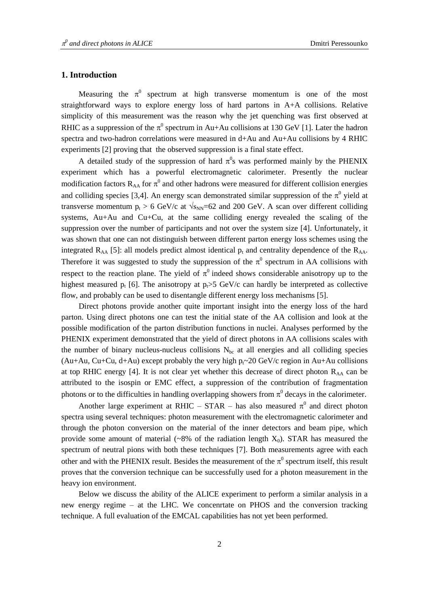## **1. Introduction**

Measuring the  $\pi^0$  spectrum at high transverse momentum is one of the most straightforward ways to explore energy loss of hard partons in A+A collisions. Relative simplicity of this measurement was the reason why the jet quenching was first observed at RHIC as a suppression of the  $\pi^0$  spectrum in Au+Au collisions at 130 GeV [1]. Later the hadron spectra and two-hadron correlations were measured in d+Au and Au+Au collisions by 4 RHIC experiments [2] proving that the observed suppression is a final state effect.

A detailed study of the suppression of hard  $\pi^0$ s was performed mainly by the PHENIX experiment which has a powerful electromagnetic calorimeter. Presently the nuclear modification factors  $R_{AA}$  for  $\pi^0$  and other hadrons were measured for different collision energies and colliding species [3,4]. An energy scan demonstrated similar suppression of the  $\pi^0$  yield at transverse momentum  $p_t > 6$  GeV/c at  $\sqrt{s_{NN}}$ =62 and 200 GeV. A scan over different colliding systems, Au+Au and Cu+Cu, at the same colliding energy revealed the scaling of the suppression over the number of participants and not over the system size [4]. Unfortunately, it was shown that one can not distinguish between different parton energy loss schemes using the integrated  $R_{AA}$  [5]: all models predict almost identical  $p_t$  and centrality dependence of the  $R_{AA}$ . Therefore it was suggested to study the suppression of the  $\pi^0$  spectrum in AA collisions with respect to the reaction plane. The yield of  $\pi^0$  indeed shows considerable anisotropy up to the highest measured  $p_t$  [6]. The anisotropy at  $p_t > 5$  GeV/c can hardly be interpreted as collective flow, and probably can be used to disentangle different energy loss mechanisms [5].

Direct photons provide another quite important insight into the energy loss of the hard parton. Using direct photons one can test the initial state of the AA collision and look at the possible modification of the parton distribution functions in nuclei. Analyses performed by the PHENIX experiment demonstrated that the yield of direct photons in AA collisions scales with the number of binary nucleus-nucleus collisions  $N_{bc}$  at all energies and all colliding species (Au+Au, Cu+Cu, d+Au) except probably the very high  $p_f \sim 20$  GeV/c region in Au+Au collisions at top RHIC energy [4]. It is not clear yet whether this decrease of direct photon  $R_{AA}$  can be attributed to the isospin or EMC effect, a suppression of the contribution of fragmentation photons or to the difficulties in handling overlapping showers from  $\pi^0$  decays in the calorimeter.

Another large experiment at RHIC – STAR – has also measured  $\pi^0$  and direct photon spectra using several techniques: photon measurement with the electromagnetic calorimeter and through the photon conversion on the material of the inner detectors and beam pipe, which provide some amount of material (~8% of the radiation length  $X_0$ ). STAR has measured the spectrum of neutral pions with both these techniques [7]. Both measurements agree with each other and with the PHENIX result. Besides the measurement of the  $\pi^0$  spectrum itself, this result proves that the conversion technique can be successfully used for a photon measurement in the heavy ion environment.

Below we discuss the ability of the ALICE experiment to perform a similar analysis in a new energy regime – at the LHC. We concenrtate on PHOS and the conversion tracking technique. A full evaluation of the EMCAL capabilities has not yet been performed.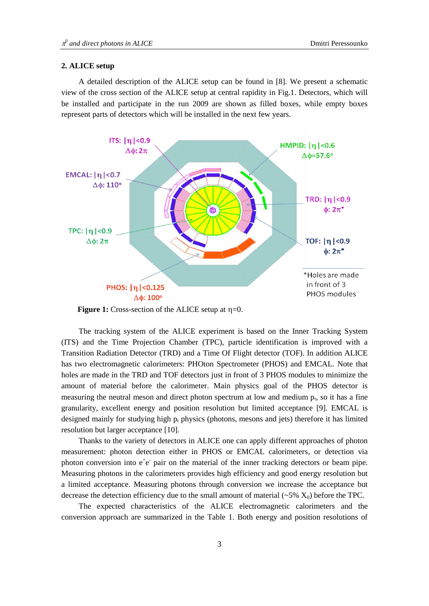#### **2. ALICE setup**

A detailed description of the ALICE setup can be found in [8]. We present a schematic view of the cross section of the ALICE setup at central rapidity in Fig.1. Detectors, which will be installed and participate in the run 2009 are shown as filled boxes, while empty boxes represent parts of detectors which will be installed in the next few years.



**Figure 1:** Cross-section of the ALICE setup at  $\eta=0$ .

The tracking system of the ALICE experiment is based on the Inner Tracking System (ITS) and the Time Projection Chamber (TPC), particle identification is improved with a Transition Radiation Detector (TRD) and a Time Of Flight detector (TOF). In addition ALICE has two electromagnetic calorimeters: PHOton Spectrometer (PHOS) and EMCAL. Note that holes are made in the TRD and TOF detectors just in front of 3 PHOS modules to minimize the amount of material before the calorimeter. Main physics goal of the PHOS detector is measuring the neutral meson and direct photon spectrum at low and medium  $p_t$ , so it has a fine granularity, excellent energy and position resolution but limited acceptance [9]. EMCAL is designed mainly for studying high  $p_t$  physics (photons, mesons and jets) therefore it has limited resolution but larger acceptance [10].

Thanks to the variety of detectors in ALICE one can apply different approaches of photon measurement: photon detection either in PHOS or EMCAL calorimeters, or detection via photon conversion into  $e^+e^-$  pair on the material of the inner tracking detectors or beam pipe. Measuring photons in the calorimeters provides high efficiency and good energy resolution but a limited acceptance. Measuring photons through conversion we increase the acceptance but decrease the detection efficiency due to the small amount of material  $(\sim 5\% \text{ X}_0)$  before the TPC.

The expected characteristics of the ALICE electromagnetic calorimeters and the conversion approach are summarized in the Table 1. Both energy and position resolutions of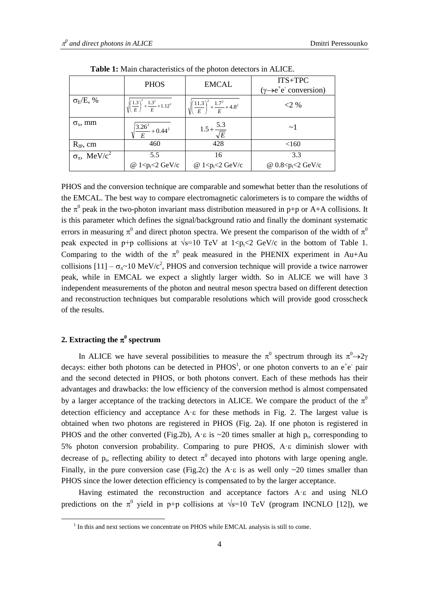|                                     | <b>PHOS</b>                                                      | <b>EMCAL</b>                                                     | $ITS+TPC$<br>$(\gamma \rightarrow e^+e^-$ conversion) |
|-------------------------------------|------------------------------------------------------------------|------------------------------------------------------------------|-------------------------------------------------------|
| $\sigma_E/E, \%$                    | $\sqrt{\left(\frac{1.3}{E}\right)^2 + \frac{1.3^2}{E}} + 1.12^2$ | $\sqrt{\left(\frac{11.3}{E}\right)^2 + \frac{1.7^2}{E}} + 4.8^2$ | $<2\%$                                                |
| $\sigma_{\rm x}$ , mm               | $\frac{3.26^2}{E} + 0.44^2$                                      | $1.5 + \frac{5.3}{\sqrt{E}}$                                     | $\sim$ 1                                              |
| $R_{IP}$ , cm                       | 460                                                              | 428                                                              | <160                                                  |
| $\sigma_{\pi}$ , MeV/c <sup>2</sup> | 5.5                                                              | 16                                                               | 3.3                                                   |
|                                     | @ $1 < p_t < 2$ GeV/c                                            | @ $1 < p_t < 2$ GeV/c                                            | @ $0.8 < p_t < 2$ GeV/c                               |

**Table 1:** Main characteristics of the photon detectors in ALICE.

PHOS and the conversion technique are comparable and somewhat better than the resolutions of the EMCAL. The best way to compare electromagnetic calorimeters is to compare the widths of the  $\pi^0$  peak in the two-photon invariant mass distribution measured in p+p or A+A collisions. It is this parameter which defines the signal/background ratio and finally the dominant systematic errors in measuring  $\pi^0$  and direct photon spectra. We present the comparison of the width of  $\pi^0$ peak expected in p+p collisions at  $\sqrt{s}$ =10 TeV at 1<p<sub>t</sub><2 GeV/c in the bottom of Table 1. Comparing to the width of the  $\pi^0$  peak measured in the PHENIX experiment in Au+Au collisions  $[11] - \sigma_{\pi} \sim 10 \text{ MeV}/c^2$ , PHOS and conversion technique will provide a twice narrower peak, while in EMCAL we expect a slightly larger width. So in ALICE we will have 3 independent measurements of the photon and neutral meson spectra based on different detection and reconstruction techniques but comparable resolutions which will provide good crosscheck of the results.

# 2. Extracting the  $\pi^0$  spectrum

<u>.</u>

In ALICE we have several possibilities to measure the  $\pi^0$  spectrum through its  $\pi^0 \rightarrow 2\gamma$ decays: either both photons can be detected in  $PHOS<sup>1</sup>$ , or one photon converts to an  $e<sup>+</sup>e<sup>-</sup>$  pair and the second detected in PHOS, or both photons convert. Each of these methods has their advantages and drawbacks: the low efficiency of the conversion method is almost compensated by a larger acceptance of the tracking detectors in ALICE. We compare the product of the  $\pi^0$ detection efficiency and acceptance  $A \in \mathcal{E}$  for these methods in Fig. 2. The largest value is obtained when two photons are registered in PHOS (Fig. 2a). If one photon is registered in PHOS and the other converted (Fig.2b), A  $\epsilon$  is  $\sim$  20 times smaller at high p<sub>t</sub>, corresponding to 5% photon conversion probability. Comparing to pure PHOS,  $A \in$  diminish slower with decrease of  $p_t$ , reflecting ability to detect  $\pi^0$  decayed into photons with large opening angle. Finally, in the pure conversion case (Fig.2c) the A· $\varepsilon$  is as well only  $\sim$ 20 times smaller than PHOS since the lower detection efficiency is compensated to by the larger acceptance.

Having estimated the reconstruction and acceptance factors  $A \in \mathcal{E}$  and using NLO predictions on the  $\pi^0$  yield in p+p collisions at  $\sqrt{s}=10$  TeV (program INCNLO [12]), we

 $<sup>1</sup>$  In this and next sections we concentrate on PHOS while EMCAL analysis is still to come.</sup>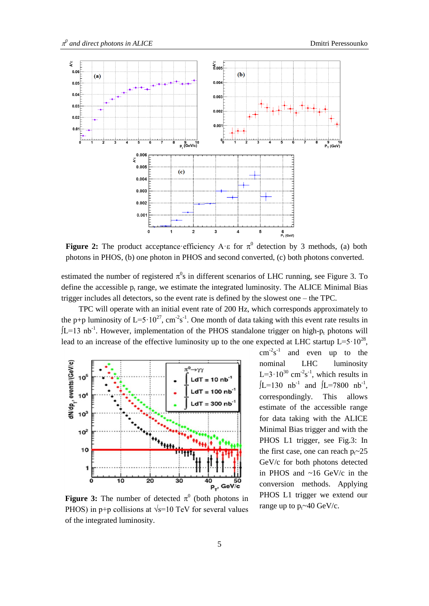

**Figure 2:** The product acceptance efficiency A  $\epsilon$  for  $\pi^0$  detection by 3 methods, (a) both photons in PHOS, (b) one photon in PHOS and second converted, (c) both photons converted.

estimated the number of registered  $\pi^0$ s in different scenarios of LHC running, see Figure 3. To define the accessible  $p_t$  range, we estimate the integrated luminosity. The ALICE Minimal Bias trigger includes all detectors, so the event rate is defined by the slowest one – the TPC.

TPC will operate with an initial event rate of 200 Hz, which corresponds approximately to the p+p luminosity of  $L=5.10^{27}$ , cm<sup>-2</sup>s<sup>-1</sup>. One month of data taking with this event rate results in  $JL=13$  nb<sup>-1</sup>. However, implementation of the PHOS standalone trigger on high- $p_t$  photons will lead to an increase of the effective luminosity up to the one expected at LHC startup  $L=5.10^{28}$ ,



**Figure 3:** The number of detected  $\pi^0$  (both photons in PHOS) in p+p collisions at  $\sqrt{s}$ =10 TeV for several values of the integrated luminosity.

 $cm^{-2}s^{-1}$ and even up to the nominal LHC luminosity L= $3.10^{30}$  cm<sup>-2</sup>s<sup>-1</sup>, which results in  $[L=130 \text{ nb}^{-1} \text{ and } [L=7800 \text{ nb}^{-1}]$ , correspondingly. This allows estimate of the accessible range for data taking with the ALICE Minimal Bias trigger and with the PHOS L1 trigger, see Fig.3: In the first case, one can reach  $p_t \sim 25$ GeV/c for both photons detected in PHOS and ~16 GeV/c in the conversion methods. Applying PHOS L1 trigger we extend our range up to  $p_t \sim 40 \text{ GeV/c}$ .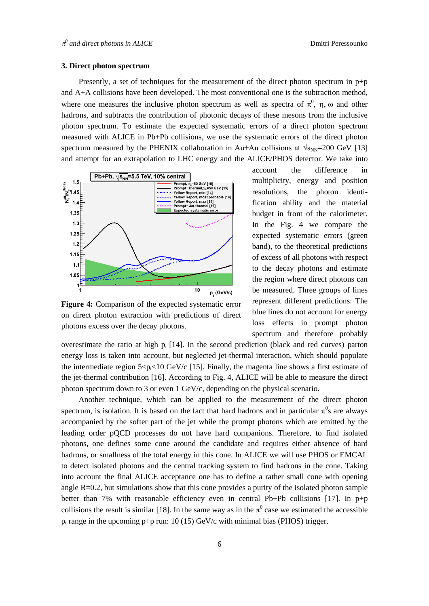#### **3. Direct photon spectrum**

Presently, a set of techniques for the measurement of the direct photon spectrum in  $p+p$ and A+A collisions have been developed. The most conventional one is the subtraction method, where one measures the inclusive photon spectrum as well as spectra of  $\pi^0$ ,  $\eta$ ,  $\omega$  and other hadrons, and subtracts the contribution of photonic decays of these mesons from the inclusive photon spectrum. To estimate the expected systematic errors of a direct photon spectrum measured with ALICE in Pb+Pb collisions, we use the systematic errors of the direct photon spectrum measured by the PHENIX collaboration in Au+Au collisions at  $\sqrt{s_{NN}}$ =200 GeV [13] and attempt for an extrapolation to LHC energy and the ALICE/PHOS detector. We take into



**Figure 4:** Comparison of the expected systematic error on direct photon extraction with predictions of direct photons excess over the decay photons.

account the difference in multiplicity, energy and position resolutions, the photon identification ability and the material budget in front of the calorimeter. In the Fig. 4 we compare the expected systematic errors (green band), to the theoretical predictions of excess of all photons with respect to the decay photons and estimate the region where direct photons can be measured. Three groups of lines represent different predictions: The blue lines do not account for energy loss effects in prompt photon spectrum and therefore probably

overestimate the ratio at high  $p_t$  [14]. In the second prediction (black and red curves) parton energy loss is taken into account, but neglected jet-thermal interaction, which should populate the intermediate region  $5 < p \leq 10$  GeV/c [15]. Finally, the magenta line shows a first estimate of the jet-thermal contribution [16]. According to Fig. 4, ALICE will be able to measure the direct photon spectrum down to 3 or even 1 GeV/c, depending on the physical scenario.

Another technique, which can be applied to the measurement of the direct photon spectrum, is isolation. It is based on the fact that hard hadrons and in particular  $\pi^0$ s are always accompanied by the softer part of the jet while the prompt photons which are emitted by the leading order pQCD processes do not have hard companions. Therefore, to find isolated photons, one defines some cone around the candidate and requires either absence of hard hadrons, or smallness of the total energy in this cone. In ALICE we will use PHOS or EMCAL to detect isolated photons and the central tracking system to find hadrons in the cone. Taking into account the final ALICE acceptance one has to define a rather small cone with opening angle  $R=0.2$ , but simulations show that this cone provides a purity of the isolated photon sample better than 7% with reasonable efficiency even in central Pb+Pb collisions [17]. In p+p collisions the result is similar [18]. In the same way as in the  $\pi^0$  case we estimated the accessible p<sub>t</sub> range in the upcoming p+p run:  $10 (15) GeV/c$  with minimal bias (PHOS) trigger.